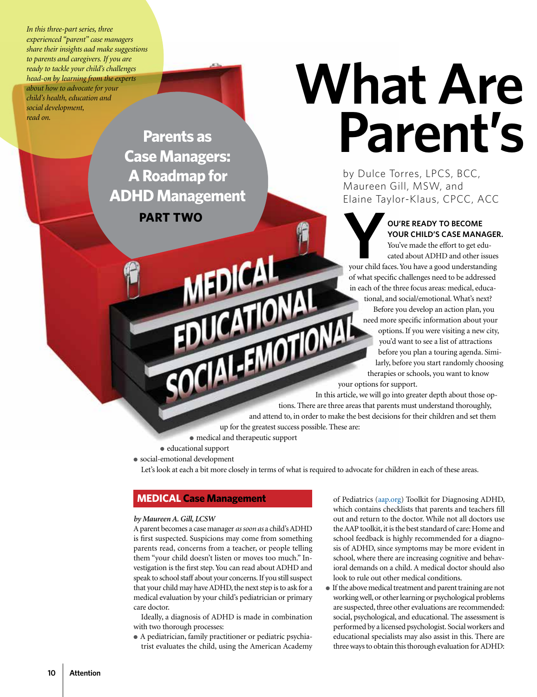*In this three-part series, three experienced "parent" case managers share their insights aad make suggestions to parents and caregivers. If you are ready to tackle your child's challenges head-on by learning from the experts about how to advocate for your child's health, education and social development, read on.*

> **Parents as Case Managers: A Roadmap for ADHD Management PART TWO**

# **What Are Parent's**

by Dulce Torres, LPCS, BCC, Maureen Gill, MSW, and Elaine Taylor-Klaus, CPCC, ACC

**YOUR CHILD'S CASE MANAGER YOUR CHILD'S CASE MANAGER You've made the effort to get educated about ADHD and other issues YOUR CHILD'S CASE MANAGER.** You've made the effort to get educated about ADHD and other issues of what specific challenges need to be addressed in each of the three focus areas: medical, educational, and social/emotional. What's next? Before you develop an action plan, you need more specific information about your options. If you were visiting a new city, you'd want to see a list of attractions before you plan a touring agenda. Similarly, before you start randomly choosing therapies or schools, you want to know need more specifical specifical specifical specifical specific specific specific specific specific specific specific specific specific specific specific specific specific specific specific specific specific specific specif

In this article, we will go into greater depth about those options. There are three areas that parents must understand thoroughly, and attend to, in order to make the best decisions for their children and set them up for the greatest success possible. These are:

● medical and therapeutic support

**EDICAL** 

- educational support
- social-emotional development

Let's look at each a bit more closely in terms of what is required to advocate for children in each of these areas.

### **MEDICAL Case Management**

### *by Maureen A. Gill, LCSW*

A parent becomes a case manager *as soon as* a child's ADHD is first suspected. Suspicions may come from something parents read, concerns from a teacher, or people telling them "your child doesn't listen or moves too much." Investigation is the first step. You can read about ADHD and speak to school staff about your concerns. If you still suspect that your child may have ADHD, the next step is to ask for a medical evaluation by your child's pediatrician or primary care doctor.

Ideally, a diagnosis of ADHD is made in combination with two thorough processes:

● A pediatrician, family practitioner or pediatric psychiatrist evaluates the child, using the American Academy of Pediatrics (aap.org) Toolkit for Diagnosing ADHD, which contains checklists that parents and teachers fill out and return to the doctor. While not all doctors use the AAP toolkit, it is the best standard of care: Home and school feedback is highly recommended for a diagnosis of ADHD, since symptoms may be more evident in school, where there are increasing cognitive and behavioral demands on a child. A medical doctor should also look to rule out other medical conditions.

● If the above medical treatment and parent training are not working well, or other learning or psychological problems are suspected, three other evaluations are recommended: social, psychological, and educational. The assessment is performed by a licensed psychologist. Social workers and educational specialists may also assist in this. There are three ways to obtain this thorough evaluation for ADHD: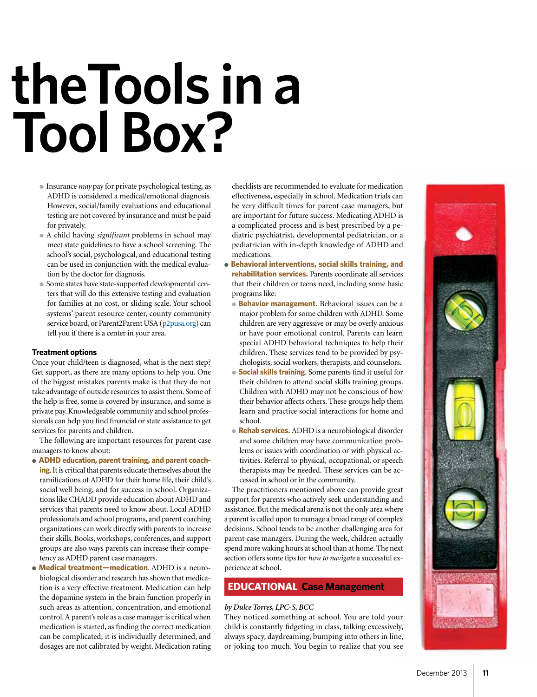# **What Are theTools in a**  Tool Box?

- Insurance *may* pay for private psychological testing, as ADHD is considered a medical/emotional diagnosis. However, social/family evaluations and educational testing are not covered by insurance and must be paid for privately.
- A child having *significant* problems in school may meet state guidelines to have a school screening. The school's social, psychological, and educational testing can be used in conjunction with the medical evaluation by the doctor for diagnosis.
- Some states have state-supported developmental centers that will do this extensive testing and evaluation for families at no cost, or sliding scale. Your school systems' parent resource center, county community service board, or Parent2Parent USA (p2pusa.org) can tell you if there is a center in your area.

### **Treatment options**

Once your child/teen is diagnosed, what is the next step? Get support, as there are many options to help you. One of the biggest mistakes parents make is that they do not take advantage of outside resources to assist them. Some of the help is free, some is covered by insurance, and some is private pay. Knowledgeable community and school professionals can help you find financial or state assistance to get services for parents and children.

The following are important resources for parent case managers to know about:

- **ADHD education, parent training, and parent coaching**. It is critical that parents educate themselves about the ramifications of ADHD for their home life, their child's social well being, and for success in school. Organizations like CHADD provide education about ADHD and services that parents need to know about. Local ADHD professionals and school programs, and parent coaching organizations can work directly with parents to increase their skills. Books, workshops, conferences, and support groups are also ways parents can increase their competency as ADHD parent case managers.
- **Medical treatment—medication**. ADHD is a neurobiological disorder and research has shown that medication is a very effective treatment. Medication can help the dopamine system in the brain function properly in such areas as attention, concentration, and emotional control. A parent's role as a case manager is critical when medication is started, as finding the correct medication can be complicated; it is individually determined, and dosages are not calibrated by weight. Medication rating

checklists are recommended to evaluate for medication effectiveness, especially in school. Medication trials can be very difficult times for parent case managers, but are important for future success. Medicating ADHD is a complicated process and is best prescribed by a pediatric psychiatrist, developmental pediatrician, or a pediatrician with in-depth knowledge of ADHD and medications.

- **Behavioral interventions, social skills training, and rehabilitation services.** Parents coordinate all services that their children or teens need, including some basic programs like:
	- **Behavior management.** Behavioral issues can be a major problem for some children with ADHD. Some children are very aggressive or may be overly anxious or have poor emotional control. Parents can learn special ADHD behavioral techniques to help their children. These services tend to be provided by psychologists, social workers, therapists, and counselors.
	- **Social skills training**. Some parents find it useful for their children to attend social skills training groups. Children with ADHD may not be conscious of how their behavior affects others. These groups help them learn and practice social interactions for home and school.
	- **Rehab services.** ADHD is a neurobiological disorder and some children may have communication problems or issues with coordination or with physical activities. Referral to physical, occupational, or speech therapists may be needed. These services can be accessed in school or in the community.

The practitioners mentioned above can provide great support for parents who actively seek understanding and assistance. But the medical arena is not the only area where a parent is called upon to manage a broad range of complex decisions. School tends to be another challenging area for parent case managers. During the week, children actually spend more waking hours at school than at home. The next section offers some tips for *how to navigate* a successful experience at school.

### **EDUCATIONAL Case Management**

### *by Dulce Torres, LPC-S, BCC*

They noticed something at school. You are told your child is constantly fidgeting in class, talking excessively, always spacy, daydreaming, bumping into others in line, or joking too much. You begin to realize that you see

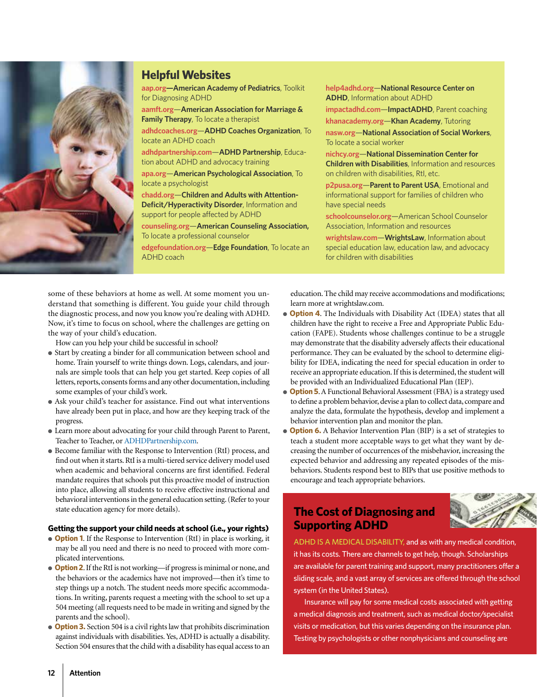

### **Helpful Websites**

**aap.org—American Academy of Pediatrics**, Toolkit for Diagnosing ADHD

**aamft.org**—**American Association for Marriage & Family Therapy**, To locate a therapist

**adhdcoaches.org**—**ADHD Coaches Organization**, To locate an ADHD coach

**adhdpartnership.com**—**ADHD Partnership**, Education about ADHD and advocacy training

**apa.org**—**American Psychological Association**, To locate a psychologist

**chadd.org**—**Children and Adults with Attention-Deficit/Hyperactivity Disorder**, Information and support for people affected by ADHD

**counseling.org**—**American Counseling Association,** To locate a professional counselor

**edgefoundation.org**—**Edge Foundation**, To locate an ADHD coach

**help4adhd.org**—**National Resource Center on ADHD**, Information about ADHD **impactadhd.com**—**ImpactADHD**, Parent coaching **khanacademy.org**—**Khan Academy**, Tutoring **nasw.org**—**National Association of Social Workers**, To locate a social worker

**nichcy.org**—**National Dissemination Center for Children with Disabilities**, Information and resources on children with disabilities, RtI, etc.

**p2pusa.org**—**Parent to Parent USA**, Emotional and informational support for families of children who have special needs

**schoolcounselor.org**—American School Counselor Association, Information and resources

**wrightslaw.com**—**WrightsLaw**, Information about special education law, education law, and advocacy for children with disabilities

some of these behaviors at home as well. At some moment you understand that something is different. You guide your child through the diagnostic process, and now you know you're dealing with ADHD. Now, it's time to focus on school, where the challenges are getting on the way of your child's education.

How can you help your child be successful in school?

- Start by creating a binder for all communication between school and home. Train yourself to write things down. Logs, calendars, and journals are simple tools that can help you get started. Keep copies of all letters, reports, consents forms and any other documentation, including some examples of your child's work.
- Ask your child's teacher for assistance. Find out what interventions have already been put in place, and how are they keeping track of the progress.
- Learn more about advocating for your child through Parent to Parent, Teacher to Teacher, or ADHDPartnership.com.
- Become familiar with the Response to Intervention (RtI) process, and find out when it starts. RtI is a multi-tiered service delivery model used when academic and behavioral concerns are first identified. Federal mandate requires that schools put this proactive model of instruction into place, allowing all students to receive effective instructional and behavioral interventions in the general education setting. (Refer to your state education agency for more details).

#### **Getting the support your child needs at school (i.e., your rights)**

- **Option 1**. If the Response to Intervention (RtI) in place is working, it may be all you need and there is no need to proceed with more complicated interventions.
- **Option 2**. If the RtI is not working—if progress is minimal or none, and the behaviors or the academics have not improved—then it's time to step things up a notch. The student needs more specific accommodations. In writing, parents request a meeting with the school to set up a 504 meeting (all requests need to be made in writing and signed by the parents and the school).
- **Option 3.** Section 504 is a civil rights law that prohibits discrimination against individuals with disabilities. Yes, ADHD is actually a disability. Section 504 ensures that the child with a disability has equal access to an

education. The child may receive accommodations and modifications; learn more at wrightslaw.com.

- **Option 4**. The Individuals with Disability Act (IDEA) states that all children have the right to receive a Free and Appropriate Public Education (FAPE). Students whose challenges continue to be a struggle may demonstrate that the disability adversely affects their educational performance. They can be evaluated by the school to determine eligibility for IDEA, indicating the need for special education in order to receive an appropriate education. If this is determined, the student will be provided with an Individualized Educational Plan (IEP).
- **Option 5**. A Functional Behavioral Assessment (FBA) is a strategy used to define a problem behavior, devise a plan to collect data, compare and analyze the data, formulate the hypothesis, develop and implement a behavior intervention plan and monitor the plan.
- **Option 6.** A Behavior Intervention Plan (BIP) is a set of strategies to teach a student more acceptable ways to get what they want by decreasing the number of occurrences of the misbehavior, increasing the expected behavior and addressing any repeated episodes of the misbehaviors. Students respond best to BIPs that use positive methods to encourage and teach appropriate behaviors.

### **The Cost of Diagnosing and Supporting ADHD**

ADHD IS A MEDICAL DISABILITY, and as with any medical condition, it has its costs. There are channels to get help, though. Scholarships are available for parent training and support, many practitioners offer a sliding scale, and a vast array of services are offered through the school system (in the United States).

Insurance will pay for some medical costs associated with getting a medical diagnosis and treatment, such as medical doctor/specialist visits or medication, but this varies depending on the insurance plan. Testing by psychologists or other nonphysicians and counseling are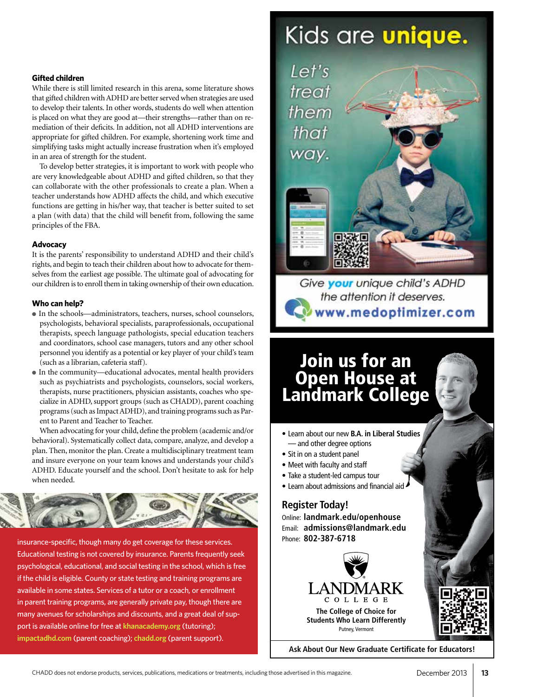### **Gifted children**

While there is still limited research in this arena, some literature shows that gifted children with ADHD are better served when strategies are used to develop their talents. In other words, students do well when attention is placed on what they are good at—their strengths—rather than on remediation of their deficits. In addition, not all ADHD interventions are appropriate for gifted children. For example, shortening work time and simplifying tasks might actually increase frustration when it's employed in an area of strength for the student.

To develop better strategies, it is important to work with people who are very knowledgeable about ADHD and gifted children, so that they can collaborate with the other professionals to create a plan. When a teacher understands how ADHD affects the child, and which executive functions are getting in his/her way, that teacher is better suited to set a plan (with data) that the child will benefit from, following the same principles of the FBA.

### **Advocacy**

It is the parents' responsibility to understand ADHD and their child's rights, and begin to teach their children about how to advocate for themselves from the earliest age possible. The ultimate goal of advocating for our children is to enroll them in taking ownership of their own education.

### **Who can help?**

- In the schools—administrators, teachers, nurses, school counselors, psychologists, behavioral specialists, paraprofessionals, occupational therapists, speech language pathologists, special education teachers and coordinators, school case managers, tutors and any other school personnel you identify as a potential or key player of your child's team (such as a librarian, cafeteria staff).
- In the community—educational advocates, mental health providers such as psychiatrists and psychologists, counselors, social workers, therapists, nurse practitioners, physician assistants, coaches who specialize in ADHD, support groups (such as CHADD), parent coaching programs (such as Impact ADHD), and training programs such as Parent to Parent and Teacher to Teacher.

When advocating for your child, define the problem (academic and/or behavioral). Systematically collect data, compare, analyze, and develop a plan. Then, monitor the plan. Create a multidisciplinary treatment team and insure everyone on your team knows and understands your child's ADHD. Educate yourself and the school. Don't hesitate to ask for help when needed.



insurance-specific, though many do get coverage for these services. Educational testing is not covered by insurance. Parents frequently seek psychological, educational, and social testing in the school, which is free if the child is eligible. County or state testing and training programs are available in some states. Services of a tutor or a coach, or enrollment in parent training programs, are generally private pay, though there are many avenues for scholarships and discounts, and a great deal of support is available online for free at **khanacademy.org** (tutoring); **impactadhd.com** (parent coaching); **chadd.org** (parent support).

### Kids are **unique.**

Let's treat them

that way.



### Join us for an Open House at Landmark College

- Learn about our new **B.A. in Liberal Studies** — and other degree options
- Sit in on a student panel
- Meet with faculty and staff
- Take a student-led campus tour
- Learn about admissions and financial aid

### **Register Today!**

Online: **landmark.edu/openhouse** Email: **admissions@landmark.edu** Phone: **802-387-6718**



**Ask About Our New Graduate Certificate for Educators!**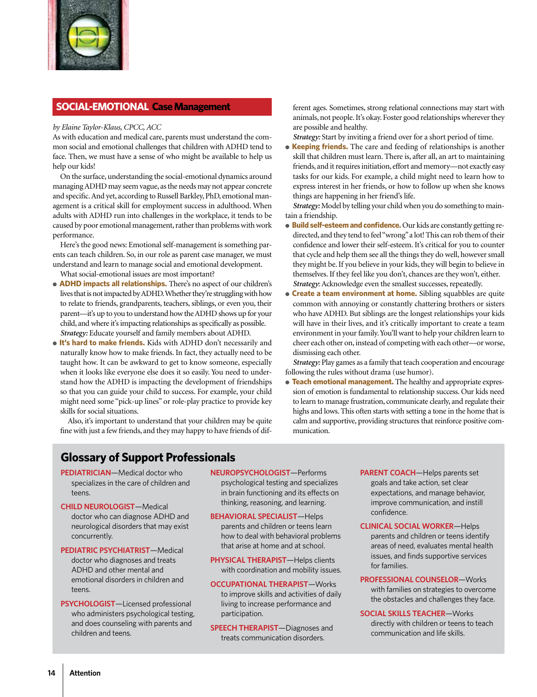

### **SOCIAL-EMOTIONAL Case Management**

### *by Elaine Taylor-Klaus, CPCC, ACC*

As with education and medical care, parents must understand the common social and emotional challenges that children with ADHD tend to face. Then, we must have a sense of who might be available to help us help our kids!

On the surface, understanding the social-emotional dynamics around managing ADHD may seem vague, as the needs may not appear concrete and specific. And yet, according to Russell Barkley, PhD, emotional management is a critical skill for employment success in adulthood. When adults with ADHD run into challenges in the workplace, it tends to be caused by poor emotional management, rather than problems with work performance.

Here's the good news: Emotional self-management is something parents can teach children. So, in our role as parent case manager, we must understand and learn to manage social and emotional development.

What social-emotional issues are most important?

- **ADHD impacts all relationships.** There's no aspect of our children's lives that is not impacted by ADHD. Whether they're struggling with how to relate to friends, grandparents, teachers, siblings, or even you, their parent—it's up to you to understand how the ADHD shows up for your child, and where it's impacting relationships as specifically as possible. *Strategy:* Educate yourself and family members about ADHD.
- **It's hard to make friends.** Kids with ADHD don't necessarily and naturally know how to make friends. In fact, they actually need to be taught how. It can be awkward to get to know someone, especially when it looks like everyone else does it so easily. You need to understand how the ADHD is impacting the development of friendships so that you can guide your child to success. For example, your child might need some "pick-up lines" or role-play practice to provide key skills for social situations.

Also, it's important to understand that your children may be quite fine with just a few friends, and they may happy to have friends of different ages. Sometimes, strong relational connections may start with animals, not people. It's okay. Foster good relationships wherever they are possible and healthy.

*Strategy:* Start by inviting a friend over for a short period of time.

● **Keeping friends.** The care and feeding of relationships is another skill that children must learn. There is, after all, an art to maintaining friends, and it requires initiation, effort and memory—not exactly easy tasks for our kids. For example, a child might need to learn how to express interest in her friends, or how to follow up when she knows things are happening in her friend's life.

*Strategy:* Model by telling your child when you do something to maintain a friendship.

- **Build self-esteem and confidence.** Our kids are constantly getting redirected, and they tend to feel "wrong" a lot! This can rob them of their confidence and lower their self-esteem. It's critical for you to counter that cycle and help them see all the things they do well, however small they might be. If you believe in your kids, they will begin to believe in themselves. If they feel like you don't, chances are they won't, either. *Strategy*: Acknowledge even the smallest successes, repeatedly.
- **Create a team environment at home.** Sibling squabbles are quite common with annoying or constantly chattering brothers or sisters who have ADHD. But siblings are the longest relationships your kids will have in their lives, and it's critically important to create a team environment in your family. You'll want to help your children learn to cheer each other on, instead of competing with each other—or worse, dismissing each other.

*Strategy:* Play games as a family that teach cooperation and encourage following the rules without drama (use humor).

● **Teach emotional management.** The healthy and appropriate expression of emotion is fundamental to relationship success. Our kids need to learn to manage frustration, communicate clearly, and regulate their highs and lows. This often starts with setting a tone in the home that is calm and supportive, providing structures that reinforce positive communication.

### **Glossary of Support Professionals**

- **PEDIATRICIAN**—Medical doctor who specializes in the care of children and teens.
- **CHILD NEUROLOGIST**—Medical doctor who can diagnose ADHD and neurological disorders that may exist concurrently.
- **PEDIATRIC PSYCHIATRIST**—Medical doctor who diagnoses and treats ADHD and other mental and emotional disorders in children and teens.
- **PSYCHOLOGIST**—Licensed professional who administers psychological testing, and does counseling with parents and children and teens.
- **NEUROPSYCHOLOGIST**—Performs psychological testing and specializes in brain functioning and its effects on thinking, reasoning, and learning.
- **BEHAVIORAL SPECIALIST**—Helps parents and children or teens learn how to deal with behavioral problems that arise at home and at school.
- **PHYSICAL THERAPIST**—Helps clients with coordination and mobility issues.
- **OCCUPATIONAL THERAPIST**—Works to improve skills and activities of daily living to increase performance and participation.
- **SPEECH THERAPIST**—Diagnoses and treats communication disorders.
- **PARENT COACH**—Helps parents set goals and take action, set clear expectations, and manage behavior, improve communication, and instill confidence.
- **CLINICAL SOCIAL WORKER**—Helps parents and children or teens identify areas of need, evaluates mental health issues, and finds supportive services for families.
- **PROFESSIONAL COUNSELOR**—Works with families on strategies to overcome the obstacles and challenges they face.
- **SOCIAL SKILLS TEACHER**—Works directly with children or teens to teach communication and life skills.